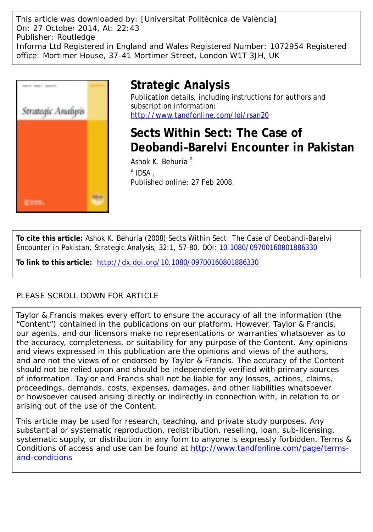This article was downloaded by: [Universitat Politècnica de València] On: 27 October 2014, At: 22:43 Publisher: Routledge Informa Ltd Registered in England and Wales Registered Number: 1072954 Registered office: Mortimer House, 37-41 Mortimer Street, London W1T 3JH, UK



## **Strategic Analysis**

Publication details, including instructions for authors and subscription information: <http://www.tandfonline.com/loi/rsan20>

# **Sects Within Sect: The Case of Deobandi–Barelvi Encounter in Pakistan**

Ashok K. Behuria<sup>a</sup>  $^a$  IDSA, Published online: 27 Feb 2008.

**To cite this article:** Ashok K. Behuria (2008) Sects Within Sect: The Case of Deobandi–Barelvi Encounter in Pakistan, Strategic Analysis, 32:1, 57-80, DOI: [10.1080/09700160801886330](http://www.tandfonline.com/action/showCitFormats?doi=10.1080/09700160801886330)

**To link to this article:** <http://dx.doi.org/10.1080/09700160801886330>

## PLEASE SCROLL DOWN FOR ARTICLE

Taylor & Francis makes every effort to ensure the accuracy of all the information (the "Content") contained in the publications on our platform. However, Taylor & Francis, our agents, and our licensors make no representations or warranties whatsoever as to the accuracy, completeness, or suitability for any purpose of the Content. Any opinions and views expressed in this publication are the opinions and views of the authors, and are not the views of or endorsed by Taylor & Francis. The accuracy of the Content should not be relied upon and should be independently verified with primary sources of information. Taylor and Francis shall not be liable for any losses, actions, claims, proceedings, demands, costs, expenses, damages, and other liabilities whatsoever or howsoever caused arising directly or indirectly in connection with, in relation to or arising out of the use of the Content.

This article may be used for research, teaching, and private study purposes. Any substantial or systematic reproduction, redistribution, reselling, loan, sub-licensing, systematic supply, or distribution in any form to anyone is expressly forbidden. Terms & Conditions of access and use can be found at [http://www.tandfonline.com/page/terms](http://www.tandfonline.com/page/terms-and-conditions)[and-conditions](http://www.tandfonline.com/page/terms-and-conditions)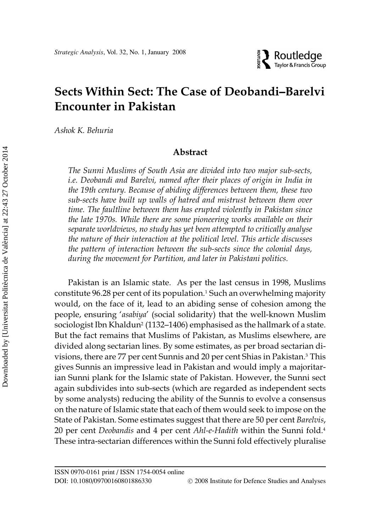

## **Sects Within Sect: The Case of Deobandi–Barelvi Encounter in Pakistan**

*Ashok K. Behuria*

## **Abstract**

*The Sunni Muslims of South Asia are divided into two major sub-sects, i.e. Deobandi and Barelvi, named after their places of origin in India in the 19th century. Because of abiding differences between them, these two sub-sects have built up walls of hatred and mistrust between them over time. The faultline between them has erupted violently in Pakistan since the late 1970s. While there are some pioneering works available on their separate worldviews, no study has yet been attempted to critically analyse the nature of their interaction at the political level. This article discusses the pattern of interaction between the sub-sects since the colonial days, during the movement for Partition, and later in Pakistani politics.*

Pakistan is an Islamic state. As per the last census in 1998, Muslims constitute 96.28 per cent of its population.<sup>1</sup> Such an overwhelming majority would, on the face of it, lead to an abiding sense of cohesion among the people, ensuring '*asabiya*' (social solidarity) that the well-known Muslim sociologist Ibn Khaldun<sup>2</sup> (1132–1406) emphasised as the hallmark of a state. But the fact remains that Muslims of Pakistan, as Muslims elsewhere, are divided along sectarian lines. By some estimates, as per broad sectarian divisions, there are 77 per cent Sunnis and 20 per cent Shias in Pakistan.<sup>3</sup> This gives Sunnis an impressive lead in Pakistan and would imply a majoritarian Sunni plank for the Islamic state of Pakistan. However, the Sunni sect again subdivides into sub-sects (which are regarded as independent sects by some analysts) reducing the ability of the Sunnis to evolve a consensus on the nature of Islamic state that each of them would seek to impose on the State of Pakistan. Some estimates suggest that there are 50 per cent *Barelvis*, 20 per cent *Deobandis* and 4 per cent *Ahl-e-Hadith* within the Sunni fold.4 These intra-sectarian differences within the Sunni fold effectively pluralise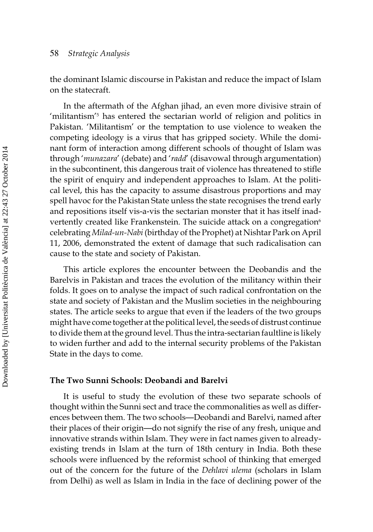the dominant Islamic discourse in Pakistan and reduce the impact of Islam on the statecraft.

In the aftermath of the Afghan jihad, an even more divisive strain of 'militantism'5 has entered the sectarian world of religion and politics in Pakistan. 'Militantism' or the temptation to use violence to weaken the competing ideology is a virus that has gripped society. While the dominant form of interaction among different schools of thought of Islam was through '*munazara*' (debate) and '*radd*' (disavowal through argumentation) in the subcontinent, this dangerous trait of violence has threatened to stifle the spirit of enquiry and independent approaches to Islam. At the political level, this has the capacity to assume disastrous proportions and may spell havoc for the Pakistan State unless the state recognises the trend early and repositions itself vis-a-vis the sectarian monster that it has itself inadvertently created like Frankenstein. The suicide attack on a congregation<sup>6</sup> celebrating *Milad-un-Nabi*(birthday of the Prophet) at Nishtar Park on April 11, 2006, demonstrated the extent of damage that such radicalisation can cause to the state and society of Pakistan.

This article explores the encounter between the Deobandis and the Barelvis in Pakistan and traces the evolution of the militancy within their folds. It goes on to analyse the impact of such radical confrontation on the state and society of Pakistan and the Muslim societies in the neighbouring states. The article seeks to argue that even if the leaders of the two groups might have come together at the political level, the seeds of distrust continue to divide them at the ground level. Thus the intra-sectarian faultline is likely to widen further and add to the internal security problems of the Pakistan State in the days to come.

## **The Two Sunni Schools: Deobandi and Barelvi**

It is useful to study the evolution of these two separate schools of thought within the Sunni sect and trace the commonalities as well as differences between them. The two schools—Deobandi and Barelvi, named after their places of their origin—do not signify the rise of any fresh, unique and innovative strands within Islam. They were in fact names given to alreadyexisting trends in Islam at the turn of 18th century in India. Both these schools were influenced by the reformist school of thinking that emerged out of the concern for the future of the *Dehlavi ulema* (scholars in Islam from Delhi) as well as Islam in India in the face of declining power of the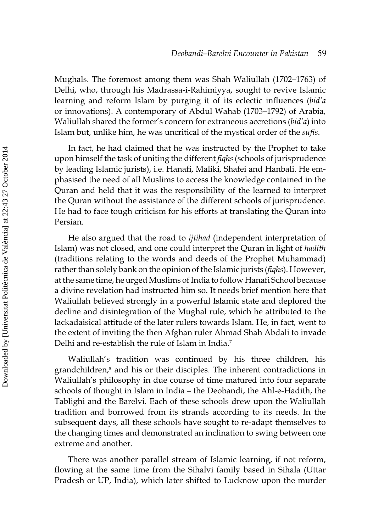Mughals. The foremost among them was Shah Waliullah (1702–1763) of Delhi, who, through his Madrassa-i-Rahimiyya, sought to revive Islamic learning and reform Islam by purging it of its eclectic influences (*bid'a* or innovations). A contemporary of Abdul Wahab (1703–1792) of Arabia, Waliullah shared the former's concern for extraneous accretions (*bid'a*) into Islam but, unlike him, he was uncritical of the mystical order of the *sufis*.

In fact, he had claimed that he was instructed by the Prophet to take upon himself the task of uniting the different *fiqhs*(schools of jurisprudence by leading Islamic jurists), i.e. Hanafi, Maliki, Shafei and Hanbali. He emphasised the need of all Muslims to access the knowledge contained in the Quran and held that it was the responsibility of the learned to interpret the Quran without the assistance of the different schools of jurisprudence. He had to face tough criticism for his efforts at translating the Quran into Persian.

He also argued that the road to *ijtihad* (independent interpretation of Islam) was not closed, and one could interpret the Quran in light of *hadith* (traditions relating to the words and deeds of the Prophet Muhammad) rather than solely bank on the opinion of the Islamic jurists (*fiqhs*). However, at the same time, he urged Muslims of India to follow Hanafi School because a divine revelation had instructed him so. It needs brief mention here that Waliullah believed strongly in a powerful Islamic state and deplored the decline and disintegration of the Mughal rule, which he attributed to the lackadaisical attitude of the later rulers towards Islam. He, in fact, went to the extent of inviting the then Afghan ruler Ahmad Shah Abdali to invade Delhi and re-establish the rule of Islam in India.<sup>7</sup>

Waliullah's tradition was continued by his three children, his grandchildren,<sup>8</sup> and his or their disciples. The inherent contradictions in Waliullah's philosophy in due course of time matured into four separate schools of thought in Islam in India – the Deobandi, the Ahl-e-Hadith, the Tablighi and the Barelvi. Each of these schools drew upon the Waliullah tradition and borrowed from its strands according to its needs. In the subsequent days, all these schools have sought to re-adapt themselves to the changing times and demonstrated an inclination to swing between one extreme and another.

There was another parallel stream of Islamic learning, if not reform, flowing at the same time from the Sihalvi family based in Sihala (Uttar Pradesh or UP, India), which later shifted to Lucknow upon the murder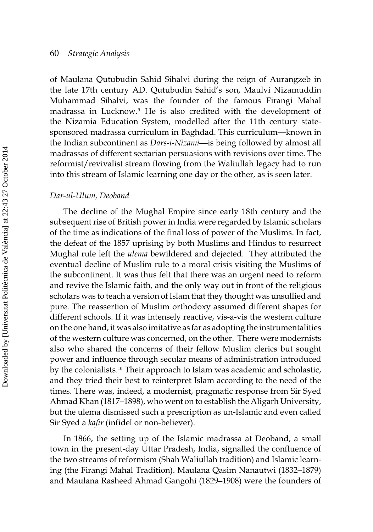of Maulana Qutubudin Sahid Sihalvi during the reign of Aurangzeb in the late 17th century AD. Qutubudin Sahid's son, Maulvi Nizamuddin Muhammad Sihalvi, was the founder of the famous Firangi Mahal madrassa in Lucknow.9 He is also credited with the development of the Nizamia Education System, modelled after the 11th century statesponsored madrassa curriculum in Baghdad. This curriculum—known in the Indian subcontinent as *Dars-i-Nizami*—is being followed by almost all madrassas of different sectarian persuasions with revisions over time. The reformist/revivalist stream flowing from the Waliullah legacy had to run into this stream of Islamic learning one day or the other, as is seen later.

#### *Dar-ul-Ulum, Deoband*

The decline of the Mughal Empire since early 18th century and the subsequent rise of British power in India were regarded by Islamic scholars of the time as indications of the final loss of power of the Muslims. In fact, the defeat of the 1857 uprising by both Muslims and Hindus to resurrect Mughal rule left the *ulema* bewildered and dejected. They attributed the eventual decline of Muslim rule to a moral crisis visiting the Muslims of the subcontinent. It was thus felt that there was an urgent need to reform and revive the Islamic faith, and the only way out in front of the religious scholars was to teach a version of Islam that they thought was unsullied and pure. The reassertion of Muslim orthodoxy assumed different shapes for different schools. If it was intensely reactive, vis-a-vis the western culture on the one hand, it was also imitative as far as adopting the instrumentalities of the western culture was concerned, on the other. There were modernists also who shared the concerns of their fellow Muslim clerics but sought power and influence through secular means of administration introduced by the colonialists.<sup>10</sup> Their approach to Islam was academic and scholastic, and they tried their best to reinterpret Islam according to the need of the times. There was, indeed, a modernist, pragmatic response from Sir Syed Ahmad Khan (1817–1898), who went on to establish the Aligarh University, but the ulema dismissed such a prescription as un-Islamic and even called Sir Syed a *kafir* (infidel or non-believer).

In 1866, the setting up of the Islamic madrassa at Deoband, a small town in the present-day Uttar Pradesh, India, signalled the confluence of the two streams of reformism (Shah Waliullah tradition) and Islamic learning (the Firangi Mahal Tradition). Maulana Qasim Nanautwi (1832–1879) and Maulana Rasheed Ahmad Gangohi (1829–1908) were the founders of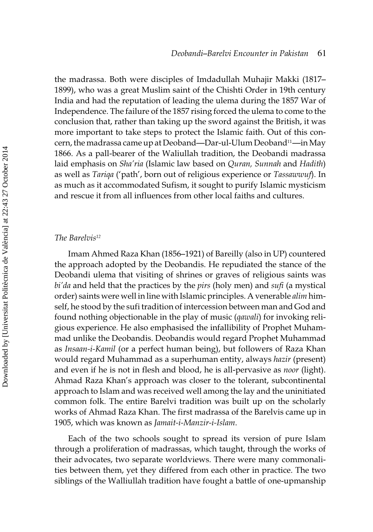the madrassa. Both were disciples of Imdadullah Muhajir Makki (1817– 1899), who was a great Muslim saint of the Chishti Order in 19th century India and had the reputation of leading the ulema during the 1857 War of Independence. The failure of the 1857 rising forced the ulema to come to the conclusion that, rather than taking up the sword against the British, it was more important to take steps to protect the Islamic faith. Out of this concern, the madrassa came up at Deoband—Dar-ul-Ulum Deoband<sup>11</sup>—in May 1866. As a pall-bearer of the Waliullah tradition, the Deobandi madrassa laid emphasis on *Sha'ria* (Islamic law based on *Quran, Sunnah* and *Hadith*) as well as *Tariqa* ('path', born out of religious experience or *Tassawwuf*). In as much as it accommodated Sufism, it sought to purify Islamic mysticism and rescue it from all influences from other local faiths and cultures.

### *The Barelvis12*

Imam Ahmed Raza Khan (1856–1921) of Bareilly (also in UP) countered the approach adopted by the Deobandis. He repudiated the stance of the Deobandi ulema that visiting of shrines or graves of religious saints was *bi'da* and held that the practices by the *pirs* (holy men) and *sufi* (a mystical order) saints were well in line with Islamic principles. A venerable *alim* himself, he stood by the sufi tradition of intercession between man and God and found nothing objectionable in the play of music (*qawali*) for invoking religious experience. He also emphasised the infallibility of Prophet Muhammad unlike the Deobandis. Deobandis would regard Prophet Muhammad as *Insaan-i-Kamil* (or a perfect human being), but followers of Raza Khan would regard Muhammad as a superhuman entity, always *hazir* (present) and even if he is not in flesh and blood, he is all-pervasive as *noor* (light). Ahmad Raza Khan's approach was closer to the tolerant, subcontinental approach to Islam and was received well among the lay and the uninitiated common folk. The entire Barelvi tradition was built up on the scholarly works of Ahmad Raza Khan. The first madrassa of the Barelvis came up in 1905, which was known as *Jamait-i-Manzir-i-Islam*.

Each of the two schools sought to spread its version of pure Islam through a proliferation of madrassas, which taught, through the works of their advocates, two separate worldviews. There were many commonalities between them, yet they differed from each other in practice. The two siblings of the Walliullah tradition have fought a battle of one-upmanship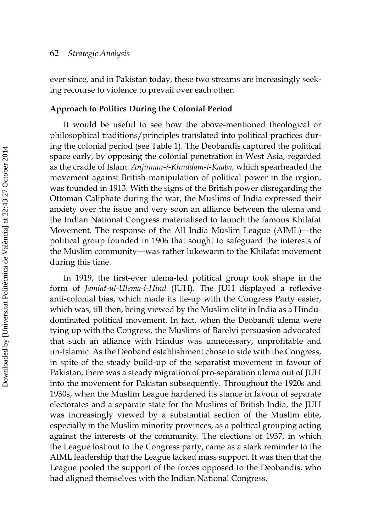ever since, and in Pakistan today, these two streams are increasingly seeking recourse to violence to prevail over each other.

## **Approach to Politics During the Colonial Period**

It would be useful to see how the above-mentioned theological or philosophical traditions/principles translated into political practices during the colonial period (see Table 1). The Deobandis captured the political space early, by opposing the colonial penetration in West Asia, regarded as the cradle of Islam. *Anjuman-i-Khuddam-i-Kaaba,* which spearheaded the movement against British manipulation of political power in the region, was founded in 1913. With the signs of the British power disregarding the Ottoman Caliphate during the war, the Muslims of India expressed their anxiety over the issue and very soon an alliance between the ulema and the Indian National Congress materialised to launch the famous Khilafat Movement. The response of the All India Muslim League (AIML)—the political group founded in 1906 that sought to safeguard the interests of the Muslim community—was rather lukewarm to the Khilafat movement during this time.

In 1919, the first-ever ulema-led political group took shape in the form of *Jamiat-ul-Ulema-i-Hind* (JUH). The JUH displayed a reflexive anti-colonial bias, which made its tie-up with the Congress Party easier, which was, till then, being viewed by the Muslim elite in India as a Hindudominated political movement. In fact, when the Deobandi ulema were tying up with the Congress, the Muslims of Barelvi persuasion advocated that such an alliance with Hindus was unnecessary, unprofitable and un-Islamic. As the Deoband establishment chose to side with the Congress, in spite of the steady build-up of the separatist movement in favour of Pakistan, there was a steady migration of pro-separation ulema out of JUH into the movement for Pakistan subsequently. Throughout the 1920s and 1930s, when the Muslim League hardened its stance in favour of separate electorates and a separate state for the Muslims of British India, the JUH was increasingly viewed by a substantial section of the Muslim elite, especially in the Muslim minority provinces, as a political grouping acting against the interests of the community. The elections of 1937, in which the League lost out to the Congress party, came as a stark reminder to the AIML leadership that the League lacked mass support. It was then that the League pooled the support of the forces opposed to the Deobandis, who had aligned themselves with the Indian National Congress.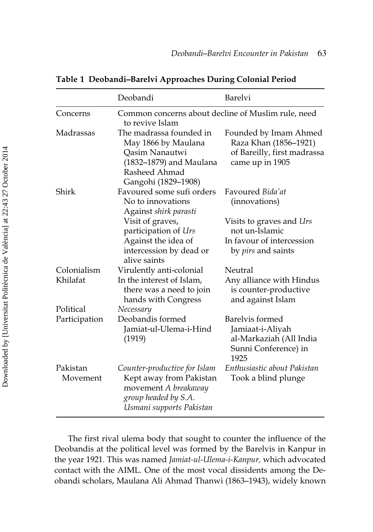|                      | Deobandi                                                                                                                            | Barelvi                                                                                              |  |
|----------------------|-------------------------------------------------------------------------------------------------------------------------------------|------------------------------------------------------------------------------------------------------|--|
| Concerns             | Common concerns about decline of Muslim rule, need<br>to revive Islam                                                               |                                                                                                      |  |
| Madrassas            | The madrassa founded in<br>May 1866 by Maulana<br>Qasim Nanautwi<br>(1832-1879) and Maulana<br>Rasheed Ahmad<br>Gangohi (1829-1908) | Founded by Imam Ahmed<br>Raza Khan (1856-1921)<br>of Bareilly, first madrassa<br>came up in 1905     |  |
| Shirk                | Favoured some sufi orders<br>No to innovations<br>Against shirk parasti                                                             | Favoured Bida'at<br>(innovations)                                                                    |  |
|                      | Visit of graves,<br>participation of Urs<br>Against the idea of<br>intercession by dead or<br>alive saints                          | Visits to graves and Urs<br>not un-Islamic<br>In favour of intercession<br>by <i>pirs</i> and saints |  |
| Colonialism          |                                                                                                                                     | Neutral                                                                                              |  |
| Khilafat             | Virulently anti-colonial<br>In the interest of Islam,<br>there was a need to join<br>hands with Congress                            | Any alliance with Hindus<br>is counter-productive<br>and against Islam                               |  |
| Political            | Necessary                                                                                                                           |                                                                                                      |  |
| Participation        | Deobandis formed<br>Jamiat-ul-Ulema-i-Hind<br>(1919)                                                                                | Barelvis formed<br>Jamiaat-i-Aliyah<br>al-Markaziah (All India<br>Sunni Conference) in<br>1925       |  |
| Pakistan<br>Movement | Counter-productive for Islam<br>Kept away from Pakistan<br>movement A breakaway<br>group headed by S.A.<br>Usmani supports Pakistan | Enthusiastic about Pakistan<br>Took a blind plunge                                                   |  |

**Table 1 Deobandi–Barelvi Approaches During Colonial Period**

The first rival ulema body that sought to counter the influence of the Deobandis at the political level was formed by the Barelvis in Kanpur in the year 1921. This was named *Jamiat-ul-Ulema-i-Kanpur,* which advocated contact with the AIML. One of the most vocal dissidents among the Deobandi scholars, Maulana Ali Ahmad Thanwi (1863–1943), widely known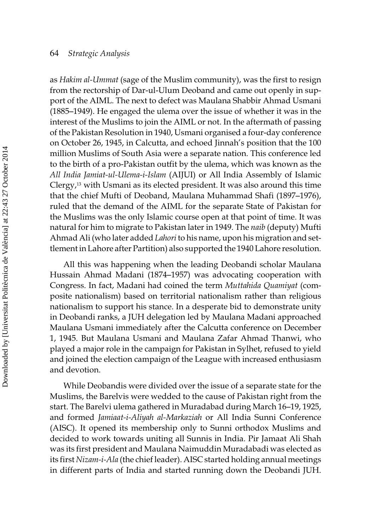as *Hakim al-Ummat* (sage of the Muslim community), was the first to resign from the rectorship of Dar-ul-Ulum Deoband and came out openly in support of the AIML. The next to defect was Maulana Shabbir Ahmad Usmani (1885–1949). He engaged the ulema over the issue of whether it was in the interest of the Muslims to join the AIML or not. In the aftermath of passing of the Pakistan Resolution in 1940, Usmani organised a four-day conference on October 26, 1945, in Calcutta, and echoed Jinnah's position that the 100 million Muslims of South Asia were a separate nation. This conference led to the birth of a pro-Pakistan outfit by the ulema, which was known as the *All India Jamiat-ul-Ulema-i-Islam* (AIJUI) or All India Assembly of Islamic Clergy,13 with Usmani as its elected president. It was also around this time that the chief Mufti of Deoband, Maulana Muhammad Shafi (1897–1976), ruled that the demand of the AIML for the separate State of Pakistan for the Muslims was the only Islamic course open at that point of time. It was natural for him to migrate to Pakistan later in 1949. The *naib* (deputy) Mufti Ahmad Ali (who later added *Lahori* to his name, upon his migration and settlement in Lahore after Partition) also supported the 1940 Lahore resolution.

All this was happening when the leading Deobandi scholar Maulana Hussain Ahmad Madani (1874–1957) was advocating cooperation with Congress. In fact, Madani had coined the term *Muttahida Quamiyat* (composite nationalism) based on territorial nationalism rather than religious nationalism to support his stance. In a desperate bid to demonstrate unity in Deobandi ranks, a JUH delegation led by Maulana Madani approached Maulana Usmani immediately after the Calcutta conference on December 1, 1945. But Maulana Usmani and Maulana Zafar Ahmad Thanwi, who played a major role in the campaign for Pakistan in Sylhet, refused to yield and joined the election campaign of the League with increased enthusiasm and devotion.

While Deobandis were divided over the issue of a separate state for the Muslims, the Barelvis were wedded to the cause of Pakistan right from the start. The Barelvi ulema gathered in Muradabad during March 16–19, 1925, and formed *Jamiaat-i-Aliyah al-Markaziah* or All India Sunni Conference (AISC). It opened its membership only to Sunni orthodox Muslims and decided to work towards uniting all Sunnis in India. Pir Jamaat Ali Shah was its first president and Maulana Naimuddin Muradabadi was elected as its first *Nizam-i-Ala* (the chief leader). AISC started holding annual meetings in different parts of India and started running down the Deobandi JUH.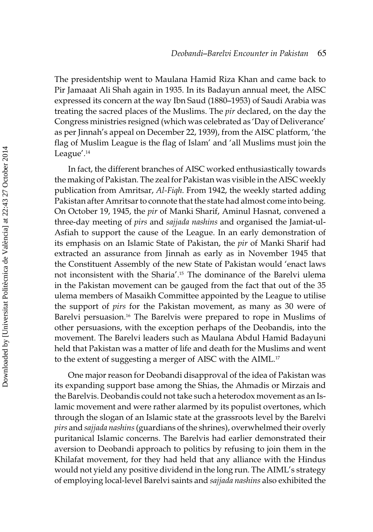The presidentship went to Maulana Hamid Riza Khan and came back to Pir Jamaaat Ali Shah again in 1935. In its Badayun annual meet, the AISC expressed its concern at the way Ibn Saud (1880–1953) of Saudi Arabia was treating the sacred places of the Muslims. The *pir* declared, on the day the Congress ministries resigned (which was celebrated as 'Day of Deliverance' as per Jinnah's appeal on December 22, 1939), from the AISC platform, 'the flag of Muslim League is the flag of Islam' and 'all Muslims must join the League'.14

In fact, the different branches of AISC worked enthusiastically towards the making of Pakistan. The zeal for Pakistan was visible in the AISC weekly publication from Amritsar, *Al-Fiqh*. From 1942, the weekly started adding Pakistan after Amritsar to connote that the state had almost come into being. On October 19, 1945, the *pir* of Manki Sharif, Aminul Hasnat, convened a three-day meeting of *pirs* and *sajjada nashins* and organised the Jamiat-ul-Asfiah to support the cause of the League. In an early demonstration of its emphasis on an Islamic State of Pakistan, the *pir* of Manki Sharif had extracted an assurance from Jinnah as early as in November 1945 that the Constituent Assembly of the new State of Pakistan would 'enact laws not inconsistent with the Sharia'.15 The dominance of the Barelvi ulema in the Pakistan movement can be gauged from the fact that out of the 35 ulema members of Masaikh Committee appointed by the League to utilise the support of *pirs* for the Pakistan movement, as many as 30 were of Barelvi persuasion.<sup>16</sup> The Barelvis were prepared to rope in Muslims of other persuasions, with the exception perhaps of the Deobandis, into the movement. The Barelvi leaders such as Maulana Abdul Hamid Badayuni held that Pakistan was a matter of life and death for the Muslims and went to the extent of suggesting a merger of AISC with the AIML.<sup>17</sup>

One major reason for Deobandi disapproval of the idea of Pakistan was its expanding support base among the Shias, the Ahmadis or Mirzais and the Barelvis. Deobandis could not take such a heterodox movement as an Islamic movement and were rather alarmed by its populist overtones, which through the slogan of an Islamic state at the grassroots level by the Barelvi *pirs* and *sajjada nashins*(guardians of the shrines), overwhelmed their overly puritanical Islamic concerns. The Barelvis had earlier demonstrated their aversion to Deobandi approach to politics by refusing to join them in the Khilafat movement, for they had held that any alliance with the Hindus would not yield any positive dividend in the long run. The AIML's strategy of employing local-level Barelvi saints and *sajjada nashins* also exhibited the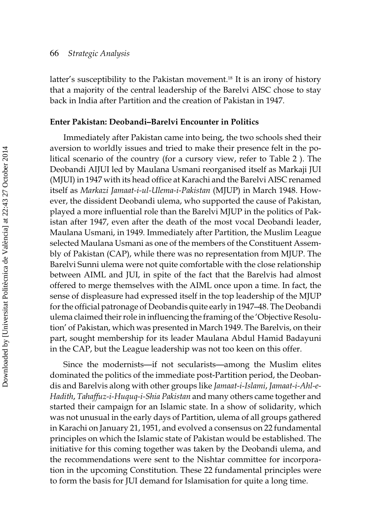latter's susceptibility to the Pakistan movement.<sup>18</sup> It is an irony of history that a majority of the central leadership of the Barelvi AISC chose to stay back in India after Partition and the creation of Pakistan in 1947.

#### **Enter Pakistan: Deobandi–Barelvi Encounter in Politics**

Immediately after Pakistan came into being, the two schools shed their aversion to worldly issues and tried to make their presence felt in the political scenario of the country (for a cursory view, refer to Table 2 ). The Deobandi AIJUI led by Maulana Usmani reorganised itself as Markaji JUI (MJUI) in 1947 with its head office at Karachi and the Barelvi AISC renamed itself as *Markazi Jamaat-i-ul-Ulema-i-Pakistan* (MJUP) in March 1948. However, the dissident Deobandi ulema, who supported the cause of Pakistan, played a more influential role than the Barelvi MJUP in the politics of Pakistan after 1947, even after the death of the most vocal Deobandi leader, Maulana Usmani, in 1949. Immediately after Partition, the Muslim League selected Maulana Usmani as one of the members of the Constituent Assembly of Pakistan (CAP), while there was no representation from MJUP. The Barelvi Sunni ulema were not quite comfortable with the close relationship between AIML and JUI, in spite of the fact that the Barelvis had almost offered to merge themselves with the AIML once upon a time. In fact, the sense of displeasure had expressed itself in the top leadership of the MJUP for the official patronage of Deobandis quite early in 1947–48. The Deobandi ulema claimed their role in influencing the framing of the 'Objective Resolution' of Pakistan, which was presented in March 1949. The Barelvis, on their part, sought membership for its leader Maulana Abdul Hamid Badayuni in the CAP, but the League leadership was not too keen on this offer.

Since the modernists—if not secularists—among the Muslim elites dominated the politics of the immediate post-Partition period, the Deobandis and Barelvis along with other groups like *Jamaat-i-Islami*, *Jamaat-i-Ahl-e-Hadith*, *Tahaffuz-i-Huquq-i-Shia Pakistan* and many others came together and started their campaign for an Islamic state. In a show of solidarity, which was not unusual in the early days of Partition, ulema of all groups gathered in Karachi on January 21, 1951, and evolved a consensus on 22 fundamental principles on which the Islamic state of Pakistan would be established. The initiative for this coming together was taken by the Deobandi ulema, and the recommendations were sent to the Nishtar committee for incorporation in the upcoming Constitution. These 22 fundamental principles were to form the basis for JUI demand for Islamisation for quite a long time.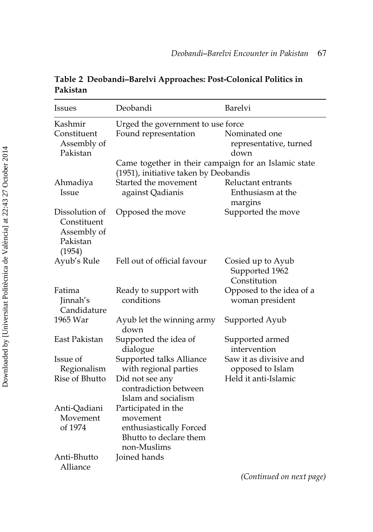| Issues                                                             | Deobandi                                                                                            | <b>Barelvi</b>                                      |  |
|--------------------------------------------------------------------|-----------------------------------------------------------------------------------------------------|-----------------------------------------------------|--|
| Kashmir<br>Constituent<br>Assembly of<br>Pakistan                  | Urged the government to use force<br>Found representation                                           | Nominated one<br>representative, turned<br>down     |  |
|                                                                    | Came together in their campaign for an Islamic state<br>(1951), initiative taken by Deobandis       |                                                     |  |
| Ahmadiya<br>Issue                                                  | Started the movement<br>against Qadianis                                                            | Reluctant entrants<br>Enthusiasm at the<br>margins  |  |
| Dissolution of<br>Constituent<br>Assembly of<br>Pakistan<br>(1954) | Opposed the move                                                                                    | Supported the move                                  |  |
| Ayub's Rule                                                        | Fell out of official favour                                                                         | Cosied up to Ayub<br>Supported 1962<br>Constitution |  |
| Fatima<br>Jinnah's<br>Candidature                                  | Ready to support with<br>conditions                                                                 | Opposed to the idea of a<br>woman president         |  |
| 1965 War                                                           | Ayub let the winning army<br>down                                                                   | Supported Ayub                                      |  |
| East Pakistan                                                      | Supported the idea of<br>dialogue                                                                   | Supported armed<br>intervention                     |  |
| Issue of<br>Regionalism                                            | Supported talks Alliance<br>with regional parties                                                   | Saw it as divisive and<br>opposed to Islam          |  |
| Rise of Bhutto                                                     | Did not see any<br>contradiction between<br>Islam and socialism                                     | Held it anti-Islamic                                |  |
| Anti-Qadiani<br>Movement<br>of 1974                                | Participated in the<br>movement<br>enthusiastically Forced<br>Bhutto to declare them<br>non-Muslims |                                                     |  |
| Anti-Bhutto<br>Alliance                                            | Joined hands                                                                                        |                                                     |  |

**Table 2 Deobandi–Barelvi Approaches: Post-Colonical Politics in Pakistan**

*(Continued on next page)*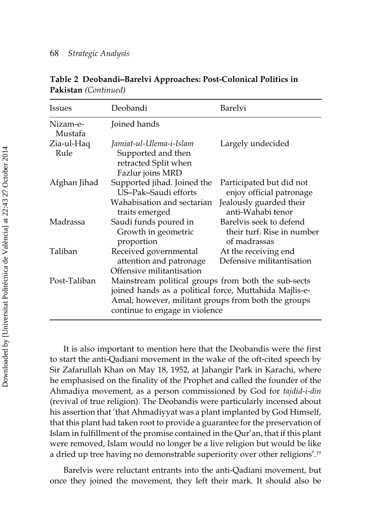| Issues              | Deobandi                                                                                                                                                                                               | <b>Barelvi</b>                                                                                       |
|---------------------|--------------------------------------------------------------------------------------------------------------------------------------------------------------------------------------------------------|------------------------------------------------------------------------------------------------------|
| Nizam-e-<br>Mustafa | Joined hands                                                                                                                                                                                           |                                                                                                      |
| Zia-ul-Haq<br>Rule  | Jamiat-ul-Ulema-i-Islam<br>Supported and then<br>retracted Split when<br>Fazlur joins MRD                                                                                                              | Largely undecided                                                                                    |
| Afghan Jihad        | Supported jihad. Joined the<br>US-Pak-Saudi efforts<br>Wahabisation and sectarian<br>traits emerged                                                                                                    | Participated but did not<br>enjoy official patronage<br>Jealously guarded their<br>anti-Wahabi tenor |
| Madrassa            | Saudi funds poured in<br>Growth in geometric<br>proportion                                                                                                                                             | Barelvis seek to defend<br>their turf. Rise in number<br>of madrassas                                |
| Taliban             | Received governmental<br>attention and patronage<br>Offensive militantisation                                                                                                                          | At the receiving end<br>Defensive militantisation                                                    |
| Post-Taliban        | Mainstream political groups from both the sub-sects<br>joined hands as a political force, Muttahida Majlis-e-<br>Amal; however, militant groups from both the groups<br>continue to engage in violence |                                                                                                      |

## **Table 2 Deobandi–Barelvi Approaches: Post-Colonical Politics in Pakistan** *(Continued)*

It is also important to mention here that the Deobandis were the first to start the anti-Qadiani movement in the wake of the oft-cited speech by Sir Zafarullah Khan on May 18, 1952, at Jahangir Park in Karachi, where he emphasised on the finality of the Prophet and called the founder of the Ahmadiya movement, as a person commissioned by God for *tajdid-i-din* (revival of true religion). The Deobandis were particularly incensed about his assertion that 'that Ahmadiyyat was a plant implanted by God Himself, that this plant had taken root to provide a guarantee for the preservation of Islam in fulfillment of the promise contained in the Qur'an, that if this plant were removed, Islam would no longer be a live religion but would be like a dried up tree having no demonstrable superiority over other religions'.<sup>19</sup>

Barelvis were reluctant entrants into the anti-Qadiani movement, but once they joined the movement, they left their mark. It should also be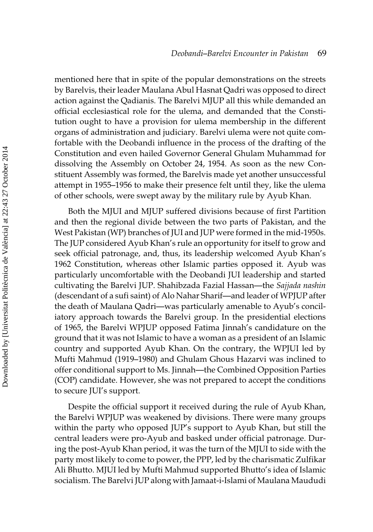mentioned here that in spite of the popular demonstrations on the streets by Barelvis, their leader Maulana Abul Hasnat Qadri was opposed to direct action against the Qadianis. The Barelvi MJUP all this while demanded an official ecclesiastical role for the ulema, and demanded that the Constitution ought to have a provision for ulema membership in the different organs of administration and judiciary. Barelvi ulema were not quite comfortable with the Deobandi influence in the process of the drafting of the Constitution and even hailed Governor General Ghulam Muhammad for dissolving the Assembly on October 24, 1954. As soon as the new Constituent Assembly was formed, the Barelvis made yet another unsuccessful attempt in 1955–1956 to make their presence felt until they, like the ulema of other schools, were swept away by the military rule by Ayub Khan.

Both the MJUI and MJUP suffered divisions because of first Partition and then the regional divide between the two parts of Pakistan, and the West Pakistan (WP) branches of JUI and JUP were formed in the mid-1950s. The JUP considered Ayub Khan's rule an opportunity for itself to grow and seek official patronage, and, thus, its leadership welcomed Ayub Khan's 1962 Constitution, whereas other Islamic parties opposed it. Ayub was particularly uncomfortable with the Deobandi JUI leadership and started cultivating the Barelvi JUP. Shahibzada Fazial Hassan—the *Sajjada nashin* (descendant of a sufi saint) of Alo Nahar Sharif—and leader of WPJUP after the death of Maulana Qadri—was particularly amenable to Ayub's conciliatory approach towards the Barelvi group. In the presidential elections of 1965, the Barelvi WPJUP opposed Fatima Jinnah's candidature on the ground that it was not Islamic to have a woman as a president of an Islamic country and supported Ayub Khan. On the contrary, the WPJUI led by Mufti Mahmud (1919–1980) and Ghulam Ghous Hazarvi was inclined to offer conditional support to Ms. Jinnah—the Combined Opposition Parties (COP) candidate. However, she was not prepared to accept the conditions to secure JUI's support.

Despite the official support it received during the rule of Ayub Khan, the Barelvi WPJUP was weakened by divisions. There were many groups within the party who opposed JUP's support to Ayub Khan, but still the central leaders were pro-Ayub and basked under official patronage. During the post-Ayub Khan period, it was the turn of the MJUI to side with the party most likely to come to power, the PPP, led by the charismatic Zulfikar Ali Bhutto. MJUI led by Mufti Mahmud supported Bhutto's idea of Islamic socialism. The Barelvi JUP along with Jamaat-i-Islami of Maulana Maududi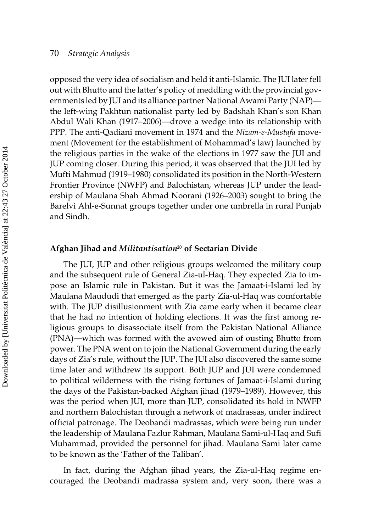opposed the very idea of socialism and held it anti-Islamic. The JUI later fell out with Bhutto and the latter's policy of meddling with the provincial governments led by JUI and its alliance partner National Awami Party (NAP) the left-wing Pakhtun nationalist party led by Badshah Khan's son Khan Abdul Wali Khan (1917–2006)—drove a wedge into its relationship with PPP. The anti-Qadiani movement in 1974 and the *Nizam-e-Mustafa* movement (Movement for the establishment of Mohammad's law) launched by the religious parties in the wake of the elections in 1977 saw the JUI and JUP coming closer. During this period, it was observed that the JUI led by Mufti Mahmud (1919–1980) consolidated its position in the North-Western Frontier Province (NWFP) and Balochistan, whereas JUP under the leadership of Maulana Shah Ahmad Noorani (1926–2003) sought to bring the Barelvi Ahl-e-Sunnat groups together under one umbrella in rural Punjab and Sindh.

## **Afghan Jihad and** *Militantisation***<sup>20</sup> of Sectarian Divide**

The JUI, JUP and other religious groups welcomed the military coup and the subsequent rule of General Zia-ul-Haq. They expected Zia to impose an Islamic rule in Pakistan. But it was the Jamaat-i-Islami led by Maulana Maududi that emerged as the party Zia-ul-Haq was comfortable with. The JUP disillusionment with Zia came early when it became clear that he had no intention of holding elections. It was the first among religious groups to disassociate itself from the Pakistan National Alliance (PNA)—which was formed with the avowed aim of ousting Bhutto from power. The PNA went on to join the National Government during the early days of Zia's rule, without the JUP. The JUI also discovered the same some time later and withdrew its support. Both JUP and JUI were condemned to political wilderness with the rising fortunes of Jamaat-i-Islami during the days of the Pakistan-backed Afghan jihad (1979–1989). However, this was the period when JUI, more than JUP, consolidated its hold in NWFP and northern Balochistan through a network of madrassas, under indirect official patronage. The Deobandi madrassas, which were being run under the leadership of Maulana Fazlur Rahman, Maulana Sami-ul-Haq and Sufi Muhammad, provided the personnel for jihad. Maulana Sami later came to be known as the 'Father of the Taliban'.

In fact, during the Afghan jihad years, the Zia-ul-Haq regime encouraged the Deobandi madrassa system and, very soon, there was a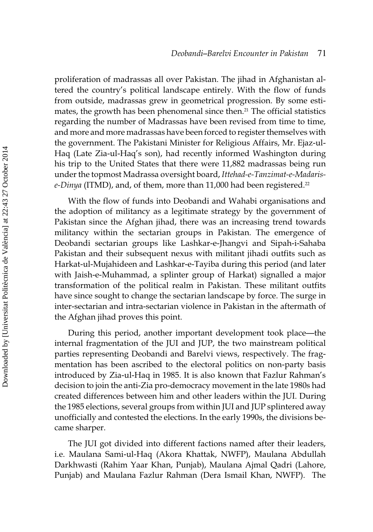proliferation of madrassas all over Pakistan. The jihad in Afghanistan altered the country's political landscape entirely. With the flow of funds from outside, madrassas grew in geometrical progression. By some estimates, the growth has been phenomenal since then.<sup>21</sup> The official statistics regarding the number of Madrassas have been revised from time to time, and more and more madrassas have been forced to register themselves with the government. The Pakistani Minister for Religious Affairs, Mr. Ejaz-ul-Haq (Late Zia-ul-Haq's son), had recently informed Washington during his trip to the United States that there were 11,882 madrassas being run under the topmost Madrassa oversight board, *Ittehad-e-Tanzimat-e-Madarise-Dinya* (ITMD), and, of them, more than 11,000 had been registered.<sup>22</sup>

With the flow of funds into Deobandi and Wahabi organisations and the adoption of militancy as a legitimate strategy by the government of Pakistan since the Afghan jihad, there was an increasing trend towards militancy within the sectarian groups in Pakistan. The emergence of Deobandi sectarian groups like Lashkar-e-Jhangvi and Sipah-i-Sahaba Pakistan and their subsequent nexus with militant jihadi outfits such as Harkat-ul-Mujahideen and Lashkar-e-Tayiba during this period (and later with Jaish-e-Muhammad, a splinter group of Harkat) signalled a major transformation of the political realm in Pakistan. These militant outfits have since sought to change the sectarian landscape by force. The surge in inter-sectarian and intra-sectarian violence in Pakistan in the aftermath of the Afghan jihad proves this point.

During this period, another important development took place—the internal fragmentation of the JUI and JUP, the two mainstream political parties representing Deobandi and Barelvi views, respectively. The fragmentation has been ascribed to the electoral politics on non-party basis introduced by Zia-ul-Haq in 1985. It is also known that Fazlur Rahman's decision to join the anti-Zia pro-democracy movement in the late 1980s had created differences between him and other leaders within the JUI. During the 1985 elections, several groups from within JUI and JUP splintered away unofficially and contested the elections. In the early 1990s, the divisions became sharper.

The JUI got divided into different factions named after their leaders, i.e. Maulana Sami-ul-Haq (Akora Khattak, NWFP), Maulana Abdullah Darkhwasti (Rahim Yaar Khan, Punjab), Maulana Ajmal Qadri (Lahore, Punjab) and Maulana Fazlur Rahman (Dera Ismail Khan, NWFP). The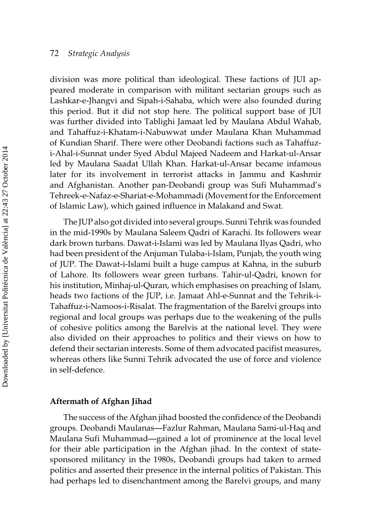division was more political than ideological. These factions of JUI appeared moderate in comparison with militant sectarian groups such as Lashkar-e-Jhangvi and Sipah-i-Sahaba, which were also founded during this period. But it did not stop here. The political support base of JUI was further divided into Tablighi Jamaat led by Maulana Abdul Wahab, and Tahaffuz-i-Khatam-i-Nabuwwat under Maulana Khan Muhammad of Kundian Sharif. There were other Deobandi factions such as Tahaffuzi-Ahal-i-Sunnat under Syed Abdul Majeed Nadeem and Harkat-ul-Ansar led by Maulana Saadat Ullah Khan. Harkat-ul-Ansar became infamous later for its involvement in terrorist attacks in Jammu and Kashmir and Afghanistan. Another pan-Deobandi group was Sufi Muhammad's Tehreek-e-Nafaz-e-Shariat-e-Mohammadi (Movement for the Enforcement of Islamic Law), which gained influence in Malakand and Swat.

The JUP also got divided into several groups. Sunni Tehrik was founded in the mid-1990s by Maulana Saleem Qadri of Karachi. Its followers wear dark brown turbans. Dawat-i-Islami was led by Maulana Ilyas Qadri, who had been president of the Anjuman Tulaba-i-Islam, Punjab, the youth wing of JUP. The Dawat-i-Islami built a huge campus at Kahna, in the suburb of Lahore. Its followers wear green turbans. Tahir-ul-Qadri, known for his institution, Minhaj-ul-Quran, which emphasises on preaching of Islam, heads two factions of the JUP, i.e. Jamaat Ahl-e-Sunnat and the Tehrik-i-Tahaffuz-i-Namoos-i-Risalat. The fragmentation of the Barelvi groups into regional and local groups was perhaps due to the weakening of the pulls of cohesive politics among the Barelvis at the national level. They were also divided on their approaches to politics and their views on how to defend their sectarian interests. Some of them advocated pacifist measures, whereas others like Sunni Tehrik advocated the use of force and violence in self-defence.

## **Aftermath of Afghan Jihad**

The success of the Afghan jihad boosted the confidence of the Deobandi groups. Deobandi Maulanas—Fazlur Rahman, Maulana Sami-ul-Haq and Maulana Sufi Muhammad—gained a lot of prominence at the local level for their able participation in the Afghan jihad. In the context of statesponsored militancy in the 1980s, Deobandi groups had taken to armed politics and asserted their presence in the internal politics of Pakistan. This had perhaps led to disenchantment among the Barelvi groups, and many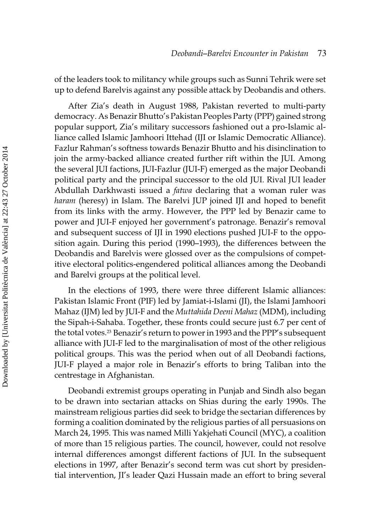of the leaders took to militancy while groups such as Sunni Tehrik were set up to defend Barelvis against any possible attack by Deobandis and others.

After Zia's death in August 1988, Pakistan reverted to multi-party democracy. As Benazir Bhutto's Pakistan Peoples Party (PPP) gained strong popular support, Zia's military successors fashioned out a pro-Islamic alliance called Islamic Jamhoori Ittehad (IJI or Islamic Democratic Alliance). Fazlur Rahman's softness towards Benazir Bhutto and his disinclination to join the army-backed alliance created further rift within the JUI. Among the several JUI factions, JUI-Fazlur (JUI-F) emerged as the major Deobandi political party and the principal successor to the old JUI. Rival JUI leader Abdullah Darkhwasti issued a *fatwa* declaring that a woman ruler was *haram* (heresy) in Islam. The Barelvi JUP joined IJI and hoped to benefit from its links with the army. However, the PPP led by Benazir came to power and JUI-F enjoyed her government's patronage. Benazir's removal and subsequent success of IJI in 1990 elections pushed JUI-F to the opposition again. During this period (1990–1993), the differences between the Deobandis and Barelvis were glossed over as the compulsions of competitive electoral politics-engendered political alliances among the Deobandi and Barelvi groups at the political level.

In the elections of 1993, there were three different Islamic alliances: Pakistan Islamic Front (PIF) led by Jamiat-i-Islami (JI), the Islami Jamhoori Mahaz (IJM) led by JUI-F and the *Muttahida Deeni Mahaz* (MDM), including the Sipah-i-Sahaba. Together, these fronts could secure just 6.7 per cent of the total votes.23 Benazir's return to power in 1993 and the PPP's subsequent alliance with JUI-F led to the marginalisation of most of the other religious political groups. This was the period when out of all Deobandi factions, JUI-F played a major role in Benazir's efforts to bring Taliban into the centrestage in Afghanistan.

Deobandi extremist groups operating in Punjab and Sindh also began to be drawn into sectarian attacks on Shias during the early 1990s. The mainstream religious parties did seek to bridge the sectarian differences by forming a coalition dominated by the religious parties of all persuasions on March 24, 1995. This was named Milli Yakjehati Council (MYC), a coalition of more than 15 religious parties. The council, however, could not resolve internal differences amongst different factions of JUI. In the subsequent elections in 1997, after Benazir's second term was cut short by presidential intervention, JI's leader Qazi Hussain made an effort to bring several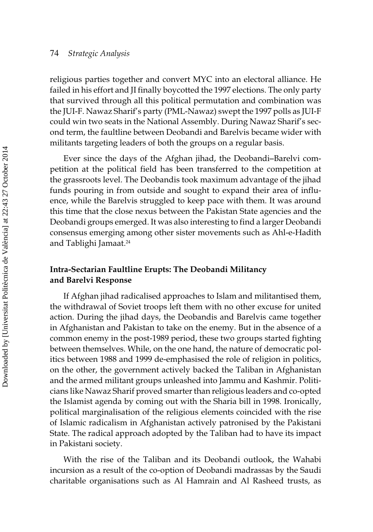religious parties together and convert MYC into an electoral alliance. He failed in his effort and JI finally boycotted the 1997 elections. The only party that survived through all this political permutation and combination was the JUI-F. Nawaz Sharif's party (PML-Nawaz) swept the 1997 polls as JUI-F could win two seats in the National Assembly. During Nawaz Sharif's second term, the faultline between Deobandi and Barelvis became wider with militants targeting leaders of both the groups on a regular basis.

Ever since the days of the Afghan jihad, the Deobandi–Barelvi competition at the political field has been transferred to the competition at the grassroots level. The Deobandis took maximum advantage of the jihad funds pouring in from outside and sought to expand their area of influence, while the Barelvis struggled to keep pace with them. It was around this time that the close nexus between the Pakistan State agencies and the Deobandi groups emerged. It was also interesting to find a larger Deobandi consensus emerging among other sister movements such as Ahl-e-Hadith and Tablighi Jamaat.<sup>24</sup>

## **Intra-Sectarian Faultline Erupts: The Deobandi Militancy and Barelvi Response**

If Afghan jihad radicalised approaches to Islam and militantised them, the withdrawal of Soviet troops left them with no other excuse for united action. During the jihad days, the Deobandis and Barelvis came together in Afghanistan and Pakistan to take on the enemy. But in the absence of a common enemy in the post-1989 period, these two groups started fighting between themselves. While, on the one hand, the nature of democratic politics between 1988 and 1999 de-emphasised the role of religion in politics, on the other, the government actively backed the Taliban in Afghanistan and the armed militant groups unleashed into Jammu and Kashmir. Politicians like Nawaz Sharif proved smarter than religious leaders and co-opted the Islamist agenda by coming out with the Sharia bill in 1998. Ironically, political marginalisation of the religious elements coincided with the rise of Islamic radicalism in Afghanistan actively patronised by the Pakistani State. The radical approach adopted by the Taliban had to have its impact in Pakistani society.

With the rise of the Taliban and its Deobandi outlook, the Wahabi incursion as a result of the co-option of Deobandi madrassas by the Saudi charitable organisations such as Al Hamrain and Al Rasheed trusts, as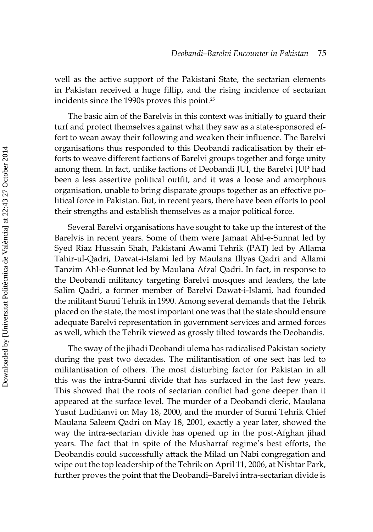well as the active support of the Pakistani State, the sectarian elements in Pakistan received a huge fillip, and the rising incidence of sectarian incidents since the 1990s proves this point.25

The basic aim of the Barelvis in this context was initially to guard their turf and protect themselves against what they saw as a state-sponsored effort to wean away their following and weaken their influence. The Barelvi organisations thus responded to this Deobandi radicalisation by their efforts to weave different factions of Barelvi groups together and forge unity among them. In fact, unlike factions of Deobandi JUI, the Barelvi JUP had been a less assertive political outfit, and it was a loose and amorphous organisation, unable to bring disparate groups together as an effective political force in Pakistan. But, in recent years, there have been efforts to pool their strengths and establish themselves as a major political force.

Several Barelvi organisations have sought to take up the interest of the Barelvis in recent years. Some of them were Jamaat Ahl-e-Sunnat led by Syed Riaz Hussain Shah, Pakistani Awami Tehrik (PAT) led by Allama Tahir-ul-Qadri, Dawat-i-Islami led by Maulana Illyas Qadri and Allami Tanzim Ahl-e-Sunnat led by Maulana Afzal Qadri. In fact, in response to the Deobandi militancy targeting Barelvi mosques and leaders, the late Salim Qadri, a former member of Barelvi Dawat-i-Islami, had founded the militant Sunni Tehrik in 1990. Among several demands that the Tehrik placed on the state, the most important one was that the state should ensure adequate Barelvi representation in government services and armed forces as well, which the Tehrik viewed as grossly tilted towards the Deobandis.

The sway of the jihadi Deobandi ulema has radicalised Pakistan society during the past two decades. The militantisation of one sect has led to militantisation of others. The most disturbing factor for Pakistan in all this was the intra-Sunni divide that has surfaced in the last few years. This showed that the roots of sectarian conflict had gone deeper than it appeared at the surface level. The murder of a Deobandi cleric, Maulana Yusuf Ludhianvi on May 18, 2000, and the murder of Sunni Tehrik Chief Maulana Saleem Qadri on May 18, 2001, exactly a year later, showed the way the intra-sectarian divide has opened up in the post-Afghan jihad years. The fact that in spite of the Musharraf regime's best efforts, the Deobandis could successfully attack the Milad un Nabi congregation and wipe out the top leadership of the Tehrik on April 11, 2006, at Nishtar Park, further proves the point that the Deobandi–Barelvi intra-sectarian divide is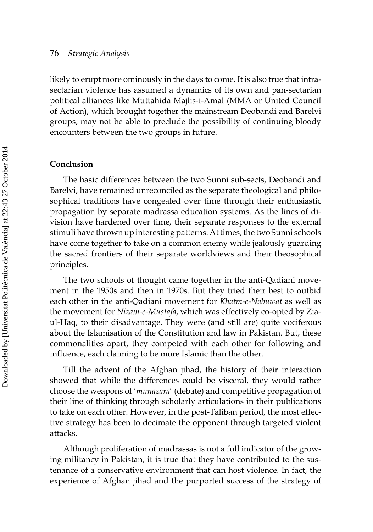likely to erupt more ominously in the days to come. It is also true that intrasectarian violence has assumed a dynamics of its own and pan-sectarian political alliances like Muttahida Majlis-i-Amal (MMA or United Council of Action), which brought together the mainstream Deobandi and Barelvi groups, may not be able to preclude the possibility of continuing bloody encounters between the two groups in future.

### **Conclusion**

The basic differences between the two Sunni sub-sects, Deobandi and Barelvi, have remained unreconciled as the separate theological and philosophical traditions have congealed over time through their enthusiastic propagation by separate madrassa education systems. As the lines of division have hardened over time, their separate responses to the external stimuli have thrown up interesting patterns. At times, the two Sunni schools have come together to take on a common enemy while jealously guarding the sacred frontiers of their separate worldviews and their theosophical principles.

The two schools of thought came together in the anti-Qadiani movement in the 1950s and then in 1970s. But they tried their best to outbid each other in the anti-Qadiani movement for *Khatm-e-Nabuwat* as well as the movement for *Nizam-e-Mustafa*, which was effectively co-opted by Ziaul-Haq, to their disadvantage. They were (and still are) quite vociferous about the Islamisation of the Constitution and law in Pakistan. But, these commonalities apart, they competed with each other for following and influence, each claiming to be more Islamic than the other.

Till the advent of the Afghan jihad, the history of their interaction showed that while the differences could be visceral, they would rather choose the weapons of '*munazara*' (debate) and competitive propagation of their line of thinking through scholarly articulations in their publications to take on each other. However, in the post-Taliban period, the most effective strategy has been to decimate the opponent through targeted violent attacks.

Although proliferation of madrassas is not a full indicator of the growing militancy in Pakistan, it is true that they have contributed to the sustenance of a conservative environment that can host violence. In fact, the experience of Afghan jihad and the purported success of the strategy of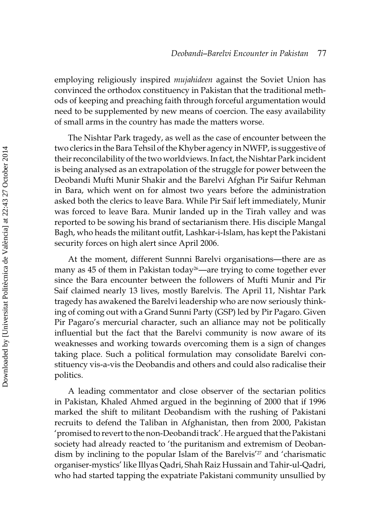employing religiously inspired *mujahideen* against the Soviet Union has convinced the orthodox constituency in Pakistan that the traditional methods of keeping and preaching faith through forceful argumentation would need to be supplemented by new means of coercion. The easy availability of small arms in the country has made the matters worse.

The Nishtar Park tragedy, as well as the case of encounter between the two clerics in the Bara Tehsil of the Khyber agency in NWFP, is suggestive of their reconcilability of the two worldviews. In fact, the Nishtar Park incident is being analysed as an extrapolation of the struggle for power between the Deobandi Mufti Munir Shakir and the Barelvi Afghan Pir Saifur Rehman in Bara, which went on for almost two years before the administration asked both the clerics to leave Bara. While Pir Saif left immediately, Munir was forced to leave Bara. Munir landed up in the Tirah valley and was reported to be sowing his brand of sectarianism there. His disciple Mangal Bagh, who heads the militant outfit, Lashkar-i-Islam, has kept the Pakistani security forces on high alert since April 2006.

At the moment, different Sunnni Barelvi organisations—there are as many as 45 of them in Pakistan today<sup>26</sup>—are trying to come together ever since the Bara encounter between the followers of Mufti Munir and Pir Saif claimed nearly 13 lives, mostly Barelvis. The April 11, Nishtar Park tragedy has awakened the Barelvi leadership who are now seriously thinking of coming out with a Grand Sunni Party (GSP) led by Pir Pagaro. Given Pir Pagaro's mercurial character, such an alliance may not be politically influential but the fact that the Barelvi community is now aware of its weaknesses and working towards overcoming them is a sign of changes taking place. Such a political formulation may consolidate Barelvi constituency vis-a-vis the Deobandis and others and could also radicalise their politics.

A leading commentator and close observer of the sectarian politics in Pakistan, Khaled Ahmed argued in the beginning of 2000 that if 1996 marked the shift to militant Deobandism with the rushing of Pakistani recruits to defend the Taliban in Afghanistan, then from 2000, Pakistan 'promised to revert to the non-Deobandi track'. He argued that the Pakistani society had already reacted to 'the puritanism and extremism of Deobandism by inclining to the popular Islam of the Barelvis<sup>'27</sup> and 'charismatic organiser-mystics' like Illyas Qadri, Shah Raiz Hussain and Tahir-ul-Qadri, who had started tapping the expatriate Pakistani community unsullied by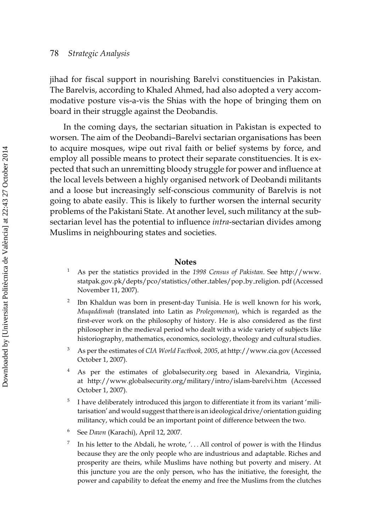jihad for fiscal support in nourishing Barelvi constituencies in Pakistan. The Barelvis, according to Khaled Ahmed, had also adopted a very accommodative posture vis-a-vis the Shias with the hope of bringing them on board in their struggle against the Deobandis.

In the coming days, the sectarian situation in Pakistan is expected to worsen. The aim of the Deobandi–Barelvi sectarian organisations has been to acquire mosques, wipe out rival faith or belief systems by force, and employ all possible means to protect their separate constituencies. It is expected that such an unremitting bloody struggle for power and influence at the local levels between a highly organised network of Deobandi militants and a loose but increasingly self-conscious community of Barelvis is not going to abate easily. This is likely to further worsen the internal security problems of the Pakistani State. At another level, such militancy at the subsectarian level has the potential to influence *intra*-sectarian divides among Muslims in neighbouring states and societies.

## **Notes**

- <sup>1</sup> As per the statistics provided in the *1998 Census of Pakistan*. See http://www. statpak.gov.pk/depts/pco/statistics/other tables/pop by religion. pdf (Accessed November 11, 2007).
- <sup>2</sup> Ibn Khaldun was born in present-day Tunisia. He is well known for his work, *Muqaddimah* (translated into Latin as *Prolegomenon*), which is regarded as the first-ever work on the philosophy of history. He is also considered as the first philosopher in the medieval period who dealt with a wide variety of subjects like historiography, mathematics, economics, sociology, theology and cultural studies.
- <sup>3</sup> As per the estimates of *CIA World Factbook, 2005*, at http://www.cia.gov (Accessed October 1, 2007).
- <sup>4</sup> As per the estimates of globalsecurity.org based in Alexandria, Virginia, at http://www.globalsecurity.org/military/intro/islam-barelvi.htm (Accessed October 1, 2007).
- <sup>5</sup> I have deliberately introduced this jargon to differentiate it from its variant 'militarisation' and would suggest that there is an ideological drive/orientation guiding militancy, which could be an important point of difference between the two.
- <sup>6</sup> See *Dawn* (Karachi), April 12, 2007.
- In his letter to the Abdali, he wrote, '... All control of power is with the Hindus because they are the only people who are industrious and adaptable. Riches and prosperity are theirs, while Muslims have nothing but poverty and misery. At this juncture you are the only person, who has the initiative, the foresight, the power and capability to defeat the enemy and free the Muslims from the clutches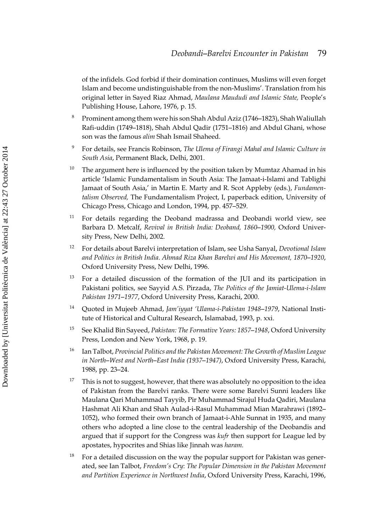of the infidels. God forbid if their domination continues, Muslims will even forget Islam and become undistinguishable from the non-Muslims'. Translation from his original letter in Sayed Riaz Ahmad, *Maulana Maududi and Islamic State,* People's Publishing House, Lahore, 1976, p. 15.

- <sup>8</sup> Prominent among them were his son Shah Abdul Aziz (1746–1823), Shah Waliullah Rafi-uddin (1749–1818), Shah Abdul Qadir (1751–1816) and Abdul Ghani, whose son was the famous *alim* Shah Ismail Shaheed.
- <sup>9</sup> For details, see Francis Robinson, *The Ulema of Firangi Mahal and Islamic Culture in South Asia*, Permanent Black, Delhi, 2001.
- <sup>10</sup> The argument here is influenced by the position taken by Mumtaz Ahamad in his article 'Islamic Fundamentalism in South Asia: The Jamaat-i-Islami and Tablighi Jamaat of South Asia,' in Martin E. Marty and R. Scot Appleby (eds.), *Fundamentalism Observed,* The Fundamentalism Project, I, paperback edition, University of Chicago Press, Chicago and London, 1994, pp. 457–529.
- $11$  For details regarding the Deoband madrassa and Deobandi world view, see Barbara D. Metcalf, *Revival in British India: Deoband, 1860–1900,* Oxford University Press, New Delhi, 2002.
- <sup>12</sup> For details about Barelvi interpretation of Islam, see Usha Sanyal, *Devotional Islam and Politics in British India*. *Ahmad Riza Khan Barelwi and His Movement, 1870–1920*, Oxford University Press, New Delhi, 1996.
- $13$  For a detailed discussion of the formation of the JUI and its participation in Pakistani politics, see Sayyid A.S. Pirzada, *The Politics of the Jamiat-Ulema-i-Islam Pakistan 1971–1977*, Oxford University Press, Karachi, 2000.
- <sup>14</sup> Quoted in Mujeeb Ahmad, *Jam'iyyat 'Ulama-i-Pakistan 1948–1979*, National Institute of Historical and Cultural Research, Islamabad, 1993, p. xxi.
- <sup>15</sup> See Khalid Bin Sayeed, *Pakistan: The Formative Years: 1857–1948*, Oxford University Press, London and New York, 1968, p. 19.
- <sup>16</sup> Ian Talbot, *Provincial Politics and the Pakistan Movement: The Growth of Muslim League in North–West and North–East India (1937–1947)*, Oxford University Press, Karachi, 1988, pp. 23–24.
- $17$  This is not to suggest, however, that there was absolutely no opposition to the idea of Pakistan from the Barelvi ranks. There were some Barelvi Sunni leaders like Maulana Qari Muhammad Tayyib, Pir Muhammad Sirajul Huda Qadiri, Maulana Hashmat Ali Khan and Shah Aulad-i-Rasul Muhammad Mian Marahrawi (1892– 1052), who formed their own branch of Jamaat-i-Ahle Sunnat in 1935, and many others who adopted a line close to the central leadership of the Deobandis and argued that if support for the Congress was *kufr* then support for League led by apostates, hypocrites and Shias like Jinnah was *haram.*
- $18$  For a detailed discussion on the way the popular support for Pakistan was generated, see Ian Talbot, *Freedom's Cry*: *The Popular Dimension in the Pakistan Movement and Partition Experience in Northwest India*, Oxford University Press, Karachi, 1996,